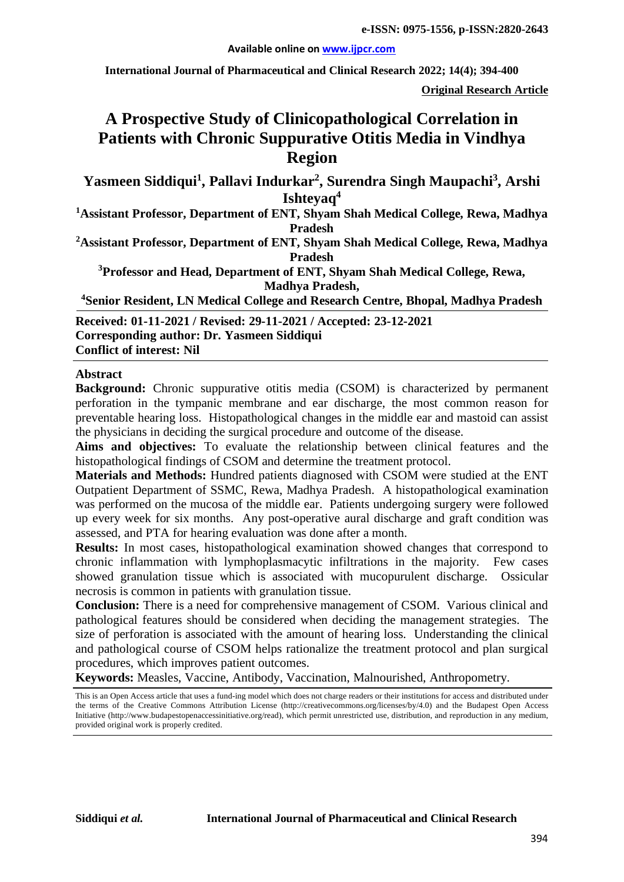**International Journal of Pharmaceutical and Clinical Research 2022; 14(4); 394-400**

**Original Research Article**

# **A Prospective Study of Clinicopathological Correlation in Patients with Chronic Suppurative Otitis Media in Vindhya Region**

**Yasmeen Siddiqui1 , Pallavi Indurkar2 , Surendra Singh Maupachi3 , Arshi Ishteyaq4**

**1 Assistant Professor, Department of ENT, Shyam Shah Medical College, Rewa, Madhya Pradesh**

**2 Assistant Professor, Department of ENT, Shyam Shah Medical College, Rewa, Madhya Pradesh** 

**3 Professor and Head, Department of ENT, Shyam Shah Medical College, Rewa, Madhya Pradesh,**

**4 Senior Resident, LN Medical College and Research Centre, Bhopal, Madhya Pradesh**

**Received: 01-11-2021 / Revised: 29-11-2021 / Accepted: 23-12-2021 Corresponding author: Dr. Yasmeen Siddiqui Conflict of interest: Nil**

#### **Abstract**

**Background:** Chronic suppurative otitis media (CSOM) is characterized by permanent perforation in the tympanic membrane and ear discharge, the most common reason for preventable hearing loss. Histopathological changes in the middle ear and mastoid can assist the physicians in deciding the surgical procedure and outcome of the disease.

**Aims and objectives:** To evaluate the relationship between clinical features and the histopathological findings of CSOM and determine the treatment protocol.

**Materials and Methods:** Hundred patients diagnosed with CSOM were studied at the ENT Outpatient Department of SSMC, Rewa, Madhya Pradesh. A histopathological examination was performed on the mucosa of the middle ear. Patients undergoing surgery were followed up every week for six months. Any post-operative aural discharge and graft condition was assessed, and PTA for hearing evaluation was done after a month.

**Results:** In most cases, histopathological examination showed changes that correspond to chronic inflammation with lymphoplasmacytic infiltrations in the majority. Few cases showed granulation tissue which is associated with mucopurulent discharge. Ossicular necrosis is common in patients with granulation tissue.

**Conclusion:** There is a need for comprehensive management of CSOM. Various clinical and pathological features should be considered when deciding the management strategies. The size of perforation is associated with the amount of hearing loss. Understanding the clinical and pathological course of CSOM helps rationalize the treatment protocol and plan surgical procedures, which improves patient outcomes.

**Keywords:** Measles, Vaccine, Antibody, Vaccination, Malnourished, Anthropometry.

This is an Open Access article that uses a fund-ing model which does not charge readers or their institutions for access and distributed under the terms of the Creative Commons Attribution License (http://creativecommons.org/licenses/by/4.0) and the Budapest Open Access Initiative (http://www.budapestopenaccessinitiative.org/read), which permit unrestricted use, distribution, and reproduction in any medium, provided original work is properly credited.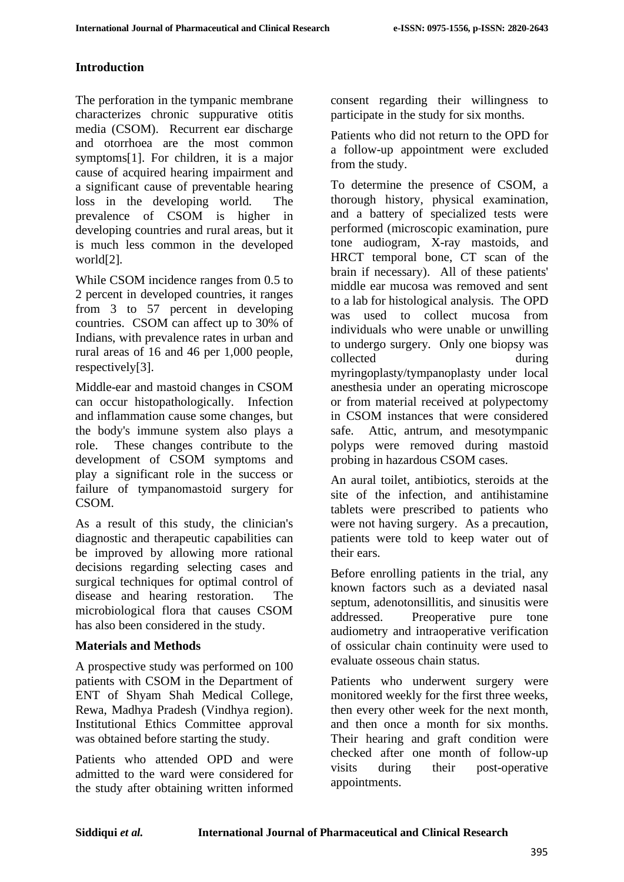# **Introduction**

The perforation in the tympanic membrane characterizes chronic suppurative otitis media (CSOM). Recurrent ear discharge and otorrhoea are the most common symptoms[1]. For children, it is a major cause of acquired hearing impairment and a significant cause of preventable hearing loss in the developing world. The prevalence of CSOM is higher in developing countries and rural areas, but it is much less common in the developed world[2].

While CSOM incidence ranges from 0.5 to 2 percent in developed countries, it ranges from 3 to 57 percent in developing countries. CSOM can affect up to 30% of Indians, with prevalence rates in urban and rural areas of 16 and 46 per 1,000 people, respectively[3].

Middle-ear and mastoid changes in CSOM can occur histopathologically. Infection and inflammation cause some changes, but the body's immune system also plays a role. These changes contribute to the development of CSOM symptoms and play a significant role in the success or failure of tympanomastoid surgery for CSOM.

As a result of this study, the clinician's diagnostic and therapeutic capabilities can be improved by allowing more rational decisions regarding selecting cases and surgical techniques for optimal control of disease and hearing restoration. The microbiological flora that causes CSOM has also been considered in the study.

### **Materials and Methods**

A prospective study was performed on 100 patients with CSOM in the Department of ENT of Shyam Shah Medical College, Rewa, Madhya Pradesh (Vindhya region). Institutional Ethics Committee approval was obtained before starting the study.

Patients who attended OPD and were admitted to the ward were considered for the study after obtaining written informed consent regarding their willingness to participate in the study for six months.

Patients who did not return to the OPD for a follow-up appointment were excluded from the study.

To determine the presence of CSOM, a thorough history, physical examination, and a battery of specialized tests were performed (microscopic examination, pure tone audiogram, X-ray mastoids, and HRCT temporal bone, CT scan of the brain if necessary). All of these patients' middle ear mucosa was removed and sent to a lab for histological analysis. The OPD was used to collect mucosa from individuals who were unable or unwilling to undergo surgery. Only one biopsy was collected during myringoplasty/tympanoplasty under local anesthesia under an operating microscope or from material received at polypectomy in CSOM instances that were considered safe. Attic, antrum, and mesotympanic polyps were removed during mastoid probing in hazardous CSOM cases.

An aural toilet, antibiotics, steroids at the site of the infection, and antihistamine tablets were prescribed to patients who were not having surgery. As a precaution, patients were told to keep water out of their ears.

Before enrolling patients in the trial, any known factors such as a deviated nasal septum, adenotonsillitis, and sinusitis were addressed. Preoperative pure tone audiometry and intraoperative verification of ossicular chain continuity were used to evaluate osseous chain status.

Patients who underwent surgery were monitored weekly for the first three weeks, then every other week for the next month, and then once a month for six months. Their hearing and graft condition were checked after one month of follow-up visits during their post-operative appointments.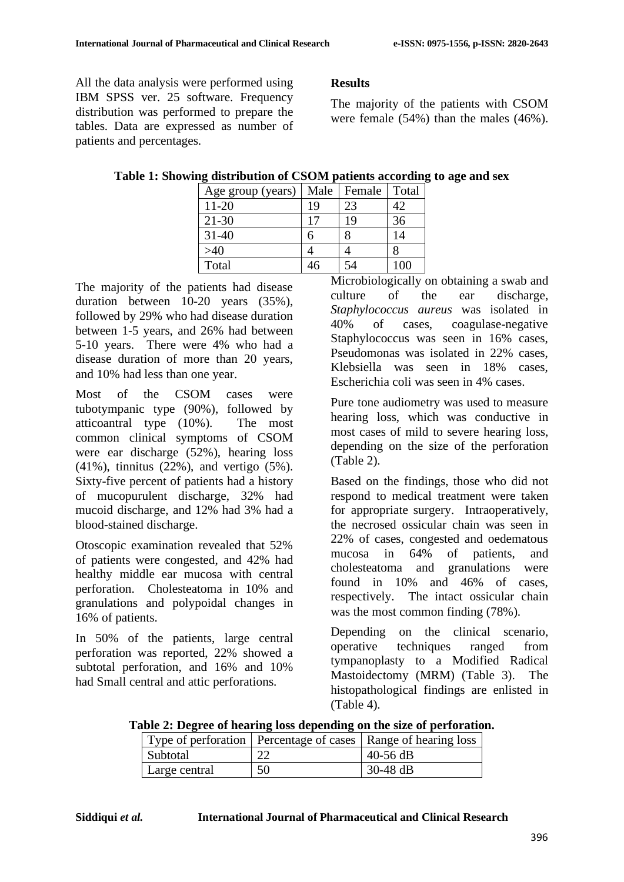All the data analysis were performed using IBM SPSS ver. 25 software. Frequency distribution was performed to prepare the tables. Data are expressed as number of patients and percentages.

### **Results**

The majority of the patients with CSOM were female (54%) than the males (46%).

| Age group (years) | Male | Female | Total           |
|-------------------|------|--------|-----------------|
| $11 - 20$         | 19   | 23     |                 |
| $21 - 30$         | 17   | 19     | 36              |
| $31-40$           |      |        | 14              |
| >40               |      |        |                 |
| Total             |      | 54     | 00 <sub>1</sub> |

**Table 1: Showing distribution of CSOM patients according to age and sex**

The majority of the patients had disease duration between 10-20 years (35%), followed by 29% who had disease duration between 1-5 years, and 26% had between 5-10 years. There were 4% who had a disease duration of more than 20 years, and 10% had less than one year.

Most of the CSOM cases were tubotympanic type (90%), followed by atticoantral type (10%). The most common clinical symptoms of CSOM were ear discharge (52%), hearing loss (41%), tinnitus (22%), and vertigo (5%). Sixty-five percent of patients had a history of mucopurulent discharge, 32% had mucoid discharge, and 12% had 3% had a blood-stained discharge.

Otoscopic examination revealed that 52% of patients were congested, and 42% had healthy middle ear mucosa with central perforation. Cholesteatoma in 10% and granulations and polypoidal changes in 16% of patients.

In 50% of the patients, large central perforation was reported, 22% showed a subtotal perforation, and 16% and 10% had Small central and attic perforations.

Microbiologically on obtaining a swab and culture of the ear discharge. *Staphylococcus aureus* was isolated in 40% of cases, coagulase-negative Staphylococcus was seen in 16% cases, Pseudomonas was isolated in 22% cases, Klebsiella was seen in 18% cases, Escherichia coli was seen in 4% cases.

Pure tone audiometry was used to measure hearing loss, which was conductive in most cases of mild to severe hearing loss, depending on the size of the perforation (Table 2).

Based on the findings, those who did not respond to medical treatment were taken for appropriate surgery. Intraoperatively, the necrosed ossicular chain was seen in 22% of cases, congested and oedematous mucosa in 64% of patients, and cholesteatoma and granulations were found in 10% and 46% of cases, respectively. The intact ossicular chain was the most common finding (78%).

Depending on the clinical scenario, operative techniques ranged from tympanoplasty to a Modified Radical Mastoidectomy (MRM) (Table 3). The histopathological findings are enlisted in (Table 4).

**Table 2: Degree of hearing loss depending on the size of perforation.**

|               |    | Type of perforation   Percentage of cases   Range of hearing loss |
|---------------|----|-------------------------------------------------------------------|
| Subtotal      | า∩ | $40-56$ dB                                                        |
| Large central | 50 | $30-48$ dB                                                        |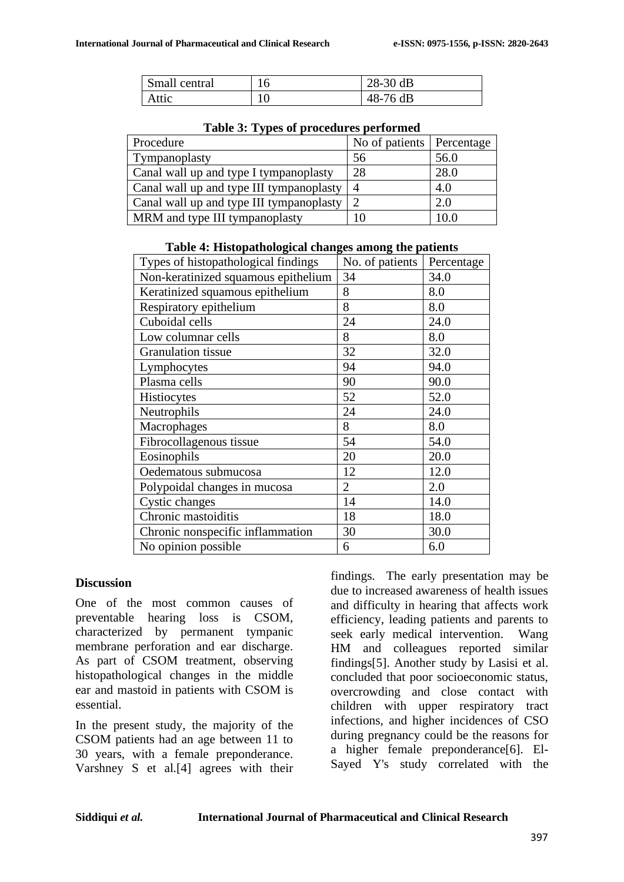| Small central | 28-30 dB   |
|---------------|------------|
| Attic         | $48-76$ dB |

| Procedure                                | No of patients   Percentage |      |
|------------------------------------------|-----------------------------|------|
| Tympanoplasty                            | 56                          | 56.0 |
| Canal wall up and type I tympanoplasty   | 28                          | 28.0 |
| Canal wall up and type III tympanoplasty | $\overline{A}$              | 4.0  |
| Canal wall up and type III tympanoplasty |                             | 2.0  |
| MRM and type III tympanoplasty           |                             | 10.0 |

#### **Table 3: Types of procedures performed**

| Types of histopathological findings | No. of patients | Percentage |
|-------------------------------------|-----------------|------------|
| Non-keratinized squamous epithelium | 34              | 34.0       |
| Keratinized squamous epithelium     | 8               | 8.0        |
| Respiratory epithelium              | 8               | 8.0        |
| Cuboidal cells                      | 24              | 24.0       |
| Low columnar cells                  | 8               | 8.0        |
| <b>Granulation</b> tissue           | 32              | 32.0       |
| Lymphocytes                         | 94              | 94.0       |
| Plasma cells                        | 90              | 90.0       |
| Histiocytes                         | 52              | 52.0       |
| Neutrophils                         | 24              | 24.0       |
| Macrophages                         | 8               | 8.0        |
| Fibrocollagenous tissue             | 54              | 54.0       |
| Eosinophils                         | 20              | 20.0       |
| Oedematous submucosa                | 12              | 12.0       |
| Polypoidal changes in mucosa        | $\overline{2}$  | 2.0        |
| Cystic changes                      | 14              | 14.0       |
| Chronic mastoiditis                 | 18              | 18.0       |
| Chronic nonspecific inflammation    | 30              | 30.0       |
| No opinion possible                 | 6               | 6.0        |

#### **Table 4: Histopathological changes among the patients**

#### **Discussion**

One of the most common causes of preventable hearing loss is CSOM, characterized by permanent tympanic membrane perforation and ear discharge. As part of CSOM treatment, observing histopathological changes in the middle ear and mastoid in patients with CSOM is essential.

In the present study, the majority of the CSOM patients had an age between 11 to 30 years, with a female preponderance. Varshney S et al.[4] agrees with their findings. The early presentation may be due to increased awareness of health issues and difficulty in hearing that affects work efficiency, leading patients and parents to seek early medical intervention. Wang HM and colleagues reported similar findings[5]. Another study by Lasisi et al. concluded that poor socioeconomic status, overcrowding and close contact with children with upper respiratory tract infections, and higher incidences of CSO during pregnancy could be the reasons for a higher female preponderance[6]. El-Sayed Y's study correlated with the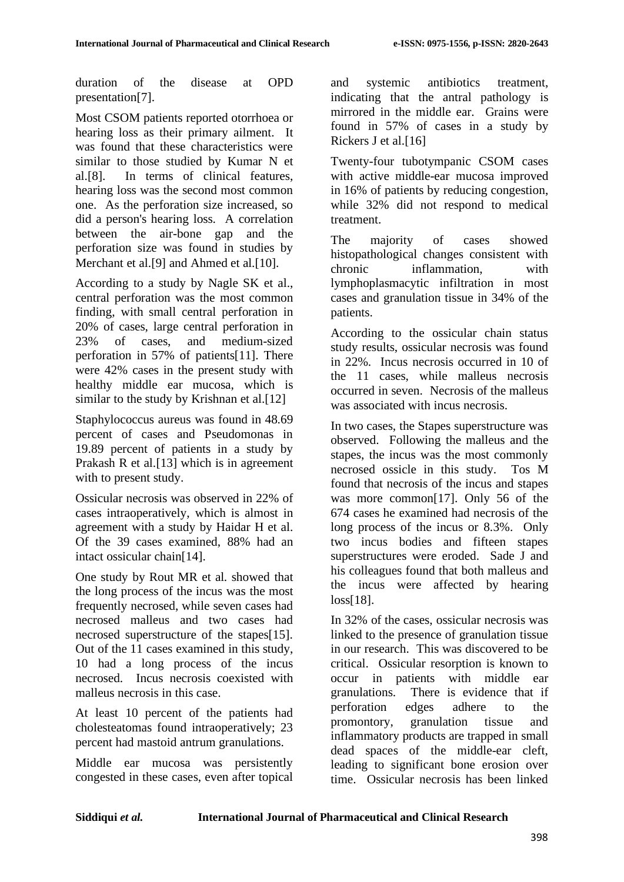duration of the disease at OPD presentation[7].

Most CSOM patients reported otorrhoea or hearing loss as their primary ailment. It was found that these characteristics were similar to those studied by Kumar N et al.[8]. In terms of clinical features, hearing loss was the second most common one. As the perforation size increased, so did a person's hearing loss. A correlation between the air-bone gap and the perforation size was found in studies by Merchant et al.<sup>[9]</sup> and Ahmed et al.<sup>[10]</sup>.

According to a study by Nagle SK et al., central perforation was the most common finding, with small central perforation in 20% of cases, large central perforation in 23% of cases, and medium-sized perforation in 57% of patients[11]. There were 42% cases in the present study with healthy middle ear mucosa, which is similar to the study by Krishnan et al.<sup>[12]</sup>

Staphylococcus aureus was found in 48.69 percent of cases and Pseudomonas in 19.89 percent of patients in a study by Prakash R et al.[13] which is in agreement with to present study.

Ossicular necrosis was observed in 22% of cases intraoperatively, which is almost in agreement with a study by Haidar H et al. Of the 39 cases examined, 88% had an intact ossicular chain[14].

One study by Rout MR et al. showed that the long process of the incus was the most frequently necrosed, while seven cases had necrosed malleus and two cases had necrosed superstructure of the stapes[15]. Out of the 11 cases examined in this study, 10 had a long process of the incus necrosed. Incus necrosis coexisted with malleus necrosis in this case.

At least 10 percent of the patients had cholesteatomas found intraoperatively; 23 percent had mastoid antrum granulations.

Middle ear mucosa was persistently congested in these cases, even after topical and systemic antibiotics treatment, indicating that the antral pathology is mirrored in the middle ear. Grains were found in 57% of cases in a study by Rickers J et al.[16]

Twenty-four tubotympanic CSOM cases with active middle-ear mucosa improved in 16% of patients by reducing congestion, while 32% did not respond to medical treatment.

The majority of cases showed histopathological changes consistent with chronic inflammation, with lymphoplasmacytic infiltration in most cases and granulation tissue in 34% of the patients.

According to the ossicular chain status study results, ossicular necrosis was found in 22%. Incus necrosis occurred in 10 of the 11 cases, while malleus necrosis occurred in seven. Necrosis of the malleus was associated with incus necrosis.

In two cases, the Stapes superstructure was observed. Following the malleus and the stapes, the incus was the most commonly necrosed ossicle in this study. Tos M found that necrosis of the incus and stapes was more common[17]. Only 56 of the 674 cases he examined had necrosis of the long process of the incus or 8.3%. Only two incus bodies and fifteen stapes superstructures were eroded. Sade J and his colleagues found that both malleus and the incus were affected by hearing loss[18].

In 32% of the cases, ossicular necrosis was linked to the presence of granulation tissue in our research. This was discovered to be critical. Ossicular resorption is known to occur in patients with middle ear granulations. There is evidence that if perforation edges adhere to the promontory, granulation tissue and inflammatory products are trapped in small dead spaces of the middle-ear cleft, leading to significant bone erosion over time. Ossicular necrosis has been linked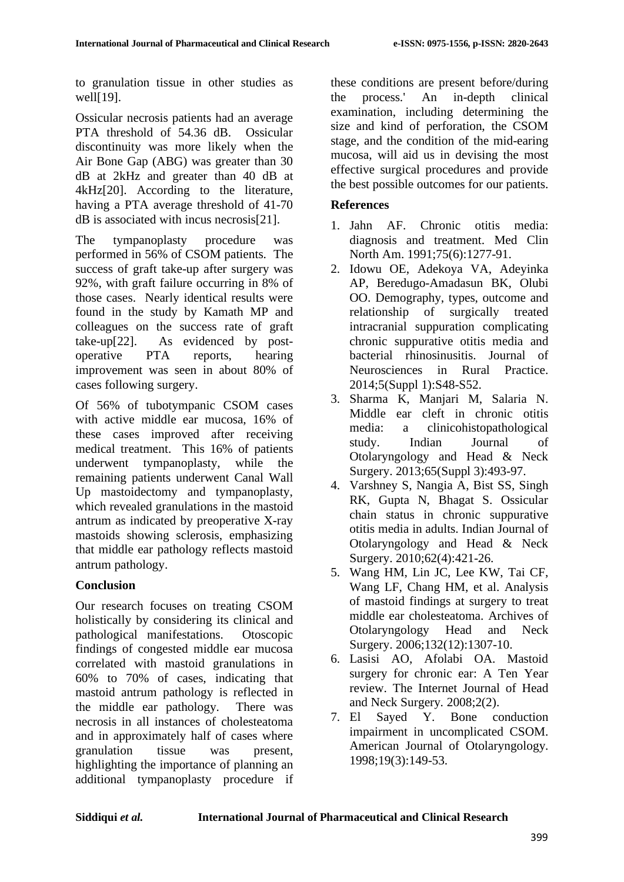to granulation tissue in other studies as well[19].

Ossicular necrosis patients had an average PTA threshold of 54.36 dB. Ossicular discontinuity was more likely when the Air Bone Gap (ABG) was greater than 30 dB at 2kHz and greater than 40 dB at 4kHz[20]. According to the literature, having a PTA average threshold of 41-70 dB is associated with incus necrosis[21].

The tympanoplasty procedure was performed in 56% of CSOM patients. The success of graft take-up after surgery was 92%, with graft failure occurring in 8% of those cases. Nearly identical results were found in the study by Kamath MP and colleagues on the success rate of graft take-up[22]. As evidenced by postoperative PTA reports, hearing improvement was seen in about 80% of cases following surgery.

Of 56% of tubotympanic CSOM cases with active middle ear mucosa, 16% of these cases improved after receiving medical treatment. This 16% of patients underwent tympanoplasty, while the remaining patients underwent Canal Wall Up mastoidectomy and tympanoplasty, which revealed granulations in the mastoid antrum as indicated by preoperative X-ray mastoids showing sclerosis, emphasizing that middle ear pathology reflects mastoid antrum pathology.

# **Conclusion**

Our research focuses on treating CSOM holistically by considering its clinical and pathological manifestations. Otoscopic findings of congested middle ear mucosa correlated with mastoid granulations in 60% to 70% of cases, indicating that mastoid antrum pathology is reflected in the middle ear pathology. There was necrosis in all instances of cholesteatoma and in approximately half of cases where granulation tissue was present, highlighting the importance of planning an additional tympanoplasty procedure if these conditions are present before/during the process.' An in-depth clinical examination, including determining the size and kind of perforation, the CSOM stage, and the condition of the mid-earing mucosa, will aid us in devising the most effective surgical procedures and provide the best possible outcomes for our patients.

## **References**

- 1. Jahn AF. Chronic otitis media: diagnosis and treatment. Med Clin North Am. 1991;75(6):1277-91.
- 2. Idowu OE, Adekoya VA, Adeyinka AP, Beredugo-Amadasun BK, Olubi OO. Demography, types, outcome and relationship of surgically treated intracranial suppuration complicating chronic suppurative otitis media and bacterial rhinosinusitis. Journal of Neurosciences in Rural Practice. 2014;5(Suppl 1):S48-S52.
- 3. Sharma K, Manjari M, Salaria N. Middle ear cleft in chronic otitis media: a clinicohistopathological study. Indian Journal of Otolaryngology and Head & Neck Surgery. 2013;65(Suppl 3):493-97.
- 4. Varshney S, Nangia A, Bist SS, Singh RK, Gupta N, Bhagat S. Ossicular chain status in chronic suppurative otitis media in adults. Indian Journal of Otolaryngology and Head & Neck Surgery. 2010;62(4):421-26.
- 5. Wang HM, Lin JC, Lee KW, Tai CF, Wang LF, Chang HM, et al. Analysis of mastoid findings at surgery to treat middle ear cholesteatoma. Archives of Otolaryngology Head and Neck Surgery. 2006;132(12):1307-10.
- 6. Lasisi AO, Afolabi OA. Mastoid surgery for chronic ear: A Ten Year review. The Internet Journal of Head and Neck Surgery. 2008;2(2).
- 7. El Sayed Y. Bone conduction impairment in uncomplicated CSOM. American Journal of Otolaryngology. 1998;19(3):149-53.